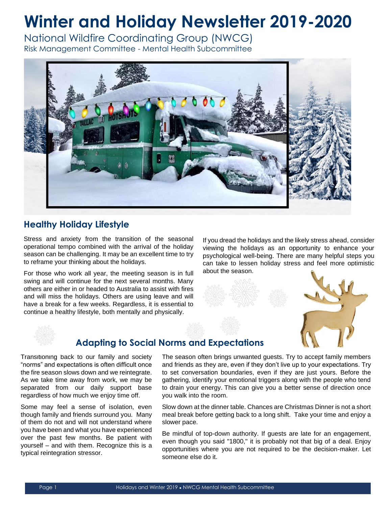# **Winter and Holiday Newsletter 2019-2020**

National Wildfire Coordinating Group (NWCG)

Risk Management Committee - Mental Health Subcommittee



## **Healthy Holiday Lifestyle**

Stress and anxiety from the transition of the seasonal operational tempo combined with the arrival of the holiday season can be challenging. It may be an excellent time to try to reframe your thinking about the holidays.

For those who work all year, the meeting season is in full swing and will continue for the next several months. Many others are either in or headed to Australia to assist with fires and will miss the holidays. Others are using leave and will have a break for a few weeks. Regardless, it is essential to continue a healthy lifestyle, both mentally and physically.

If you dread the holidays and the likely stress ahead, consider viewing the holidays as an opportunity to enhance your psychological well-being. There are many helpful steps you can take to lessen holiday stress and feel more optimistic about the season.



### **Adapting to Social Norms and Expectations**

Transitioning back to our family and society "norms" and expectations is often difficult once the fire season slows down and we reintegrate. As we take time away from work, we may be separated from our daily support base regardless of how much we enjoy time off.

Some may feel a sense of isolation, even though family and friends surround you. Many of them do not and will not understand where you have been and what you have experienced over the past few months. Be patient with yourself – and with them. Recognize this is a typical reintegration stressor.

The season often brings unwanted guests. Try to accept family members and friends as they are, even if they don't live up to your expectations. Try to set conversation boundaries, even if they are just yours. Before the gathering, identify your emotional triggers along with the people who tend to drain your energy. This can give you a better sense of direction once you walk into the room.

Slow down at the dinner table. Chances are Christmas Dinner is not a short meal break before getting back to a long shift. Take your time and enjoy a slower pace.

Be mindful of top-down authority. If guests are late for an engagement, even though you said "1800," it is probably not that big of a deal. Enjoy opportunities where you are not required to be the decision-maker. Let someone else do it.